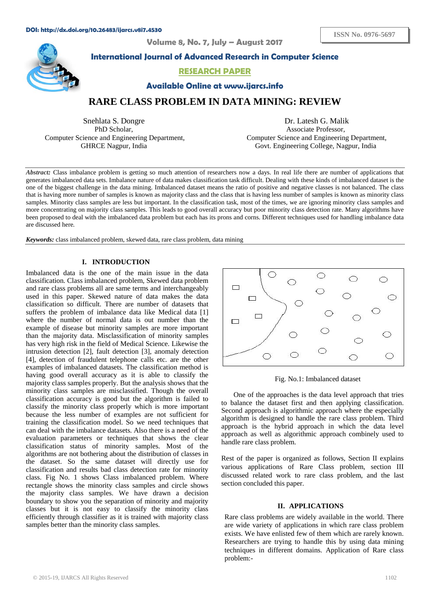**Volume 8, No. 7, July – August 2017**



**International Journal of Advanced Research in Computer Science**

# **RESEARCH PAPER**

**Available Online at www.ijarcs.info**

**RARE CLASS PROBLEM IN DATA MINING: REVIEW**

Snehlata S. Dongre PhD Scholar, Computer Science and Engineering Department, GHRCE Nagpur, India

Dr. Latesh G. Malik Associate Professor, Computer Science and Engineering Department, Govt. Engineering College, Nagpur, India

*Abstract:* Class imbalance problem is getting so much attention of researchers now a days. In real life there are number of applications that generates imbalanced data sets. Imbalance nature of data makes classification task difficult. Dealing with these kinds of imbalanced dataset is the one of the biggest challenge in the data mining. Imbalanced dataset means the ratio of positive and negative classes is not balanced. The class that is having more number of samples is known as majority class and the class that is having less number of samples is known as minority class samples. Minority class samples are less but important. In the classification task, most of the times, we are ignoring minority class samples and more concentrating on majority class samples. This leads to good overall accuracy but poor minority class detection rate. Many algorithms have been proposed to deal with the imbalanced data problem but each has its prons and corns. Different techniques used for handling imbalance data are discussed here*.* 

*Keywords:* class imbalanced problem, skewed data, rare class problem, data mining

# **I. INTRODUCTION**

Imbalanced data is the one of the main issue in the data classification. Class imbalanced problem, Skewed data problem and rare class problems all are same terms and interchangeably used in this paper. Skewed nature of data makes the data classification so difficult. There are number of datasets that suffers the problem of imbalance data like Medical data [1] where the number of normal data is out number than the example of disease but minority samples are more important than the majority data. Misclassification of minority samples has very high risk in the field of Medical Science. Likewise the intrusion detection [2], fault detection [3], anomaly detection [4], detection of fraudulent telephone calls etc. are the other examples of imbalanced datasets. The classification method is having good overall accuracy as it is able to classify the majority class samples properly. But the analysis shows that the minority class samples are misclassified. Though the overall classification accuracy is good but the algorithm is failed to classify the minority class properly which is more important because the less number of examples are not sufficient for training the classification model. So we need techniques that can deal with the imbalance datasets. Also there is a need of the evaluation parameters or techniques that shows the clear classification status of minority samples. Most of the algorithms are not bothering about the distribution of classes in the dataset. So the same dataset will directly use for classification and results bad class detection rate for minority class. Fig No. 1 shows Class imbalanced problem. Where rectangle shows the minority class samples and circle shows the majority class samples. We have drawn a decision boundary to show you the separation of minority and majority classes but it is not easy to classify the minority class efficiently through classifier as it is trained with majority class samples better than the minority class samples.



Fig. No.1: Imbalanced dataset

One of the approaches is the data level approach that tries to balance the dataset first and then applying classification. Second approach is algorithmic approach where the especially algorithm is designed to handle the rare class problem. Third approach is the hybrid approach in which the data level approach as well as algorithmic approach combinely used to handle rare class problem.

Rest of the paper is organized as follows, Section II explains various applications of Rare Class problem, section III discussed related work to rare class problem, and the last section concluded this paper.

#### **II. APPLICATIONS**

Rare class problems are widely available in the world. There are wide variety of applications in which rare class problem exists. We have enlisted few of them which are rarely known. Researchers are trying to handle this by using data mining techniques in different domains. Application of Rare class problem:-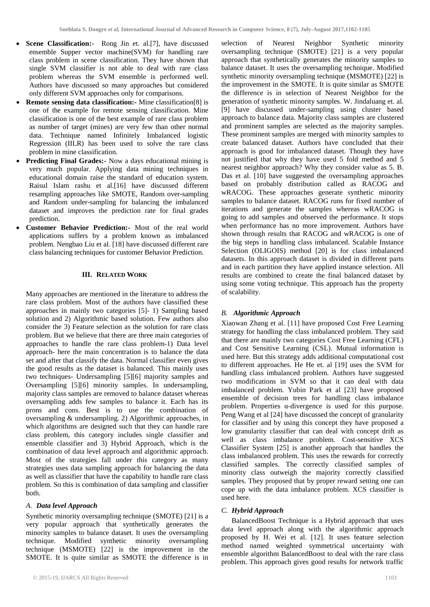- **Scene Classification:-** Rong Jin et. al.[7], have discussed ensemble Supper vector machine(SVM) for handling rare class problem in scene classification. They have shown that single SVM classifier is not able to deal with rare class problem whereas the SVM ensemble is performed well. Authors have discussed so many approaches but considered only different SVM approaches only for comparisons.
- **Remote sensing data classification:-** Mine classification[8] is one of the example for remote sensing classification. Mine classification is one of the best example of rare class problem as number of target (mines) are very few than other normal data. Technique named Infinitely Imbalanced logistic Regression (IILR) has been used to solve the rare class problem in mine classification.
- **Predicting Final Grades:-** Now a days educational mining is very much popular. Applying data mining techniques in educational domain raise the standard of education system. Raisul Islam rashu et al.[16] have discussed different resampling approaches like SMOTE, Random over-sampling and Random under-sampling for balancing the imbalanced dataset and improves the prediction rate for final grades prediction.
- **Customer Behavior Prediction:-** Most of the real world applications suffers by a problem known as imbalanced problem. Nengbao Liu et al. [18] have discussed different rare class balancing techniques for customer Behavior Prediction.

## **III. RELATED WORK**

Many approaches are mentioned in the literature to address the rare class problem. Most of the authors have classified these approaches in mainly two categories [5]- 1) Sampling based solution and 2) Algorithmic based solution. Few authors also consider the 3) Feature selection as the solution for rare class problem. But we believe that there are three main categories of approaches to handle the rare class problem-1) Data level approach- here the main concentration is to balance the data set and after that classify the data. Normal classifier even gives the good results as the dataset is balanced. This mainly uses two techniques- Undersampling [5][6] majority samples and Oversampling [5][6] minority samples. In undersampling, majority class samples are removed to balance dataset whereas oversampling adds few samples to balance it. Each has its prons and cons. Best is to use the combination of oversampling & undersampling. 2) Algorithmic approaches, in which algorithms are designed such that they can handle rare class problem, this category includes single classifier and ensemble classifier and 3) Hybrid Approach, which is the combination of data level approach and algorithmic approach. Most of the strategies fall under this category as many strategies uses data sampling approach for balancing the data as well as classifier that have the capability to handle rare class problem. So this is combination of data sampling and classifier both.

### *A. Data level Approach*

Synthetic minority oversampling technique (SMOTE) [21] is a very popular approach that synthetically generates the minority samples to balance dataset. It uses the oversampling technique. Modified synthetic minority oversampling technique (MSMOTE) [22] is the improvement in the SMOTE. It is quite similar as SMOTE the difference is in

selection of Nearest Neighbor Synthetic minority oversampling technique (SMOTE) [21] is a very popular approach that synthetically generates the minority samples to balance dataset. It uses the oversampling technique. Modified synthetic minority oversampling technique (MSMOTE) [22] is the improvement in the SMOTE. It is quite similar as SMOTE the difference is in selection of Nearest Neighbor for the generation of synthetic minority samples. W. Jindaluang et. al. [9] have discussed under-sampling using cluster based approach to balance data. Majority class samples are clustered and prominent samples are selected as the majority samples. These prominent samples are merged with minority samples to create balanced dataset. Authors have concluded that their approach is good for imbalanced dataset. Though they have not justified that why they have used 5 fold method and 5 nearest neighbor approach? Why they consider value as 5. B. Das et al. [10] have suggested the oversampling approaches based on probably distribution called as RACOG and wRACOG. These approaches generate synthetic minority samples to balance dataset. RACOG runs for fixed number of iterations and generate the samples whereas wRACOG is going to add samples and observed the performance. It stops when performance has no more improvement. Authors have shown through results that RACOG and wRACOG is one of the big steps in handling class imbalanced. Scalable Instance Selection (OLIGOIS) method [20] is for class imbalanced datasets. In this approach dataset is divided in different parts and in each partition they have applied instance selection. All results are combined to create the final balanced dataset by using some voting technique. This approach has the property of scalability.

## *B. Algorithmic Approach*

Xiaowan Zhang et al. [11] have proposed Cost Free Learning strategy for handling the class imbalanced problem. They said that there are mainly two categories Cost Free Learning (CFL) and Cost Sensitive Learning (CSL). Mutual information is used here. But this strategy adds additional computational cost to different approaches. He He et. al [19] uses the SVM for handling class imbalanced problem. Authors have suggested two modifications in SVM so that it can deal with data imbalanced problem. Yubin Park et al [23] have proposed ensemble of decision trees for handling class imbalance problem. Properties α-divergence is used for this purpose. Peng Wang et al [24] have discussed the concept of granularity for classifier and by using this concept they have proposed a low granularity classifier that can deal with concept drift as well as class imbalance problem. Cost-sensitive XCS Classifier System [25] is another approach that handles the class imbalanced problem. This uses the rewards for correctly classified samples. The correctly classified samples of minority class outweigh the majority correctly classified samples. They proposed that by proper reward setting one can cope up with the data imbalance problem. XCS classifier is used here.

#### *C. Hybrid Approach*

BalancedBoost Technique is a Hybrid approach that uses data level approach along with the algorithmic approach proposed by H. Wei et al. [12]. It uses feature selection method named weighted symmetrical uncertainty with ensemble algorithm BalancedBoost to deal with the rare class problem. This approach gives good results for network traffic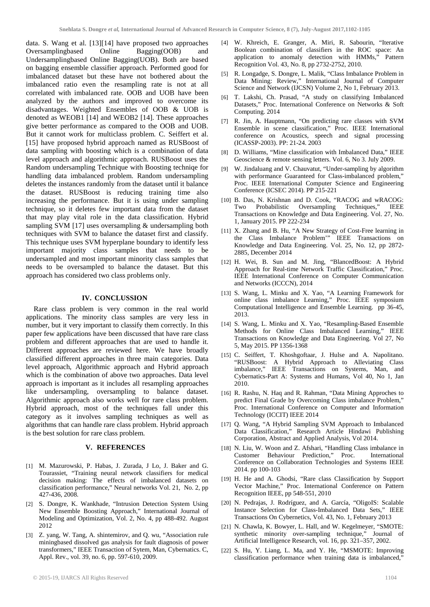data. S. Wang et al. [13][14] have proposed two approaches Oversamplingbased Online Bagging(OOB) and Oversamplingbased Online Bagging(OOB) and Undersamplingbased Online Bagging(UOB). Both are based on bagging ensemble classifier approach. Performed good for imbalanced dataset but these have not bothered about the imbalanced ratio even the resampling rate is not at all correlated with imbalanced rate. OOB and UOB have been analyzed by the authors and improved to overcome its disadvantages. Weighted Ensembles of OOB & UOB is denoted as WEOB1 [14] and WEOB2 [14]. These approaches give better performance as compared to the OOB and UOB. But it cannot work for multiclass problem. C. Seiffert et al. [15] have proposed hybrid approach named as RUSBoost of data sampling with boosting which is a combination of data level approach and algorithmic approach. RUSBoost uses the Random undersampling Technique with Boosting techniqe for handling data imbalanced problem. Random undersampling deletes the instances randomly from the dataset until it balance the dataset. RUSBoost is reducing training time also increasing the performance. But it is using under sampling technique, so it deletes few important data from the dataset that may play vital role in the data classification. Hybrid sampling SVM [17] uses oversampling & undersampling both techniques with SVM to balance the dataset first and classify. This technique uses SVM hyperplane boundary to identify less important majority class samples that needs to be undersampled and most important minority class samples that needs to be oversampled to balance the dataset. But this approach has considered two class problems only.

#### **IV. CONCLUSSION**

Rare class problem is very common in the real world applications. The minority class samples are very less in number, but it very important to classify them correctly. In this paper few applications have been discussed that have rare class problem and different approaches that are used to handle it. Different approaches are reviewed here. We have broadly classified different approaches in three main categories. Data level approach, Algorithmic approach and Hybrid approach which is the combination of above two approaches. Data level approach is important as it includes all resampling approaches like undersampling, oversampling to balance dataset. Algorithmic approach also works well for rare class problem. Hybrid approach, most of the techniques fall under this category as it involves sampling techniques as well as algorithms that can handle rare class problem. Hybrid approach is the best solution for rare class problem.

## **V. REFERENCES**

- [1] M. Mazurowski, P. Habas, J. Zurada, J Lo, J. Baker and G. Tourassiet, "Training neural network classifiers for medical decision making: The effects of imbalanced datasets on classification performance," Neural networks Vol. 21, No. 2, pp 427-436, 2008.
- [2] S. Dongre, K. Wankhade, "Intrusion Detection System Using New Ensemble Boosting Approach," International Journal of Modeling and Optimization, Vol. 2, No. 4, pp 488-492. August 2012
- [3] Z. yang, W. Tang, A. shintemirov, and Q. wu, "Association rule miningbased dissolved gas analysis for fault diagnosis of power transformers," IEEE Transaction of Sytem, Man, Cybernatics. C, Appl. Rev., vol. 39, no. 6, pp. 597-610, 2009.
- [4] W. Khreich, E. Granger, A. Miri, R. Sabourin, "Iterative Boolean combination of classifiers in the ROC space: An application to anomaly detection with HMMs," Pattern Recognition Vol. 43, No. 8, pp 2732-2752, 2010.
- [5] R. Longadge, S. Dongre, L. Malik, "Class Imbalance Problem in Data Mining: Review," International Journal of Computer Science and Network (IJCSN) Volume 2, No 1, February 2013.
- [6] T. Lakshi, Ch. Prasad, "A study on classifying Imbalanced Datasets," Proc. International Conference on Networks & Soft Computing. 2014
- [7] R. Jin, A. Hauptmann, "On predicting rare classes with SVM Ensemble in scene classification," Proc. IEEE International conference on Acoustics, speech and signal processing (ICASSP-2003). PP: 21-24. 2003
- [8] D. Williams, "Mine classification with Imbalanced Data," IEEE Geoscience & remote sensing letters. Vol. 6, No 3. July 2009.
- [9] W. Jindaluang and V. Chauvatut, "Under-sampling by algorithm with performance Guaranteed for Class-imbalanced problem," Proc. IEEE International Computer Science and Engineering Conference (ICSEC 2014). PP 215-221
- [10] B. Das, N. Krishnan and D. Cook, "RACOG and wRACOG: Two Probabilistic Oversampling Techniques," IEEE Transactions on Knowledge and Data Engineering. Vol. 27, No. 1, January 2015. PP 222-234
- [11] X. Zhang and B. Hu, "A New Strategy of Cost-Free learning in the Class Imbalance Problem'" IEEE Transactions on Knowledge and Data Engineering. Vol. 25, No. 12, pp 2872- 2885, December 2014
- [12] H. Wei, B. Sun and M. Jing, "BlancedBoost: A Hybrid Approach for Real-time Network Traffic Classification," Proc. IEEE International Conference on [Computer Communication](http://ieeexplore.ieee.org/xpl/mostRecentIssue.jsp?punumber=6901364)  [and Networks \(ICCCN\), 2014](http://ieeexplore.ieee.org/xpl/mostRecentIssue.jsp?punumber=6901364)
- [13] S. Wang, L. Minku and X. Yao, "A Learning Framework for online class imbalance Learning," Proc. IEEE symposium Computational Intelligence and Ensemble Learning. pp 36-45, 2013.
- [14] S. Wang, L. Minku and X. Yao, "Resampling-Based Ensemble Methods for Online Class Imbalanced Learning," IEEE Transactions on Knowledge and Data Engineering. Vol 27, No 5, May 2015. PP 1356-1368
- [15] C. Seiffert, T. Khoshgoftaar, J. Hulse and A. Napolitano. "RUSBoost: A Hybrid Approach to Alleviating Class imbalance," IEEE Transactions on Systems, Man, and Cybernatics-Part A: Systems and Humans, Vol 40, No 1, Jan 2010.
- [16] R. Rashu, N. Haq and R. Rahman, "Data Mining Approches to predict Final Grade by Overcoming Class imbalance Problem," Proc. International Conference on Computer and Information Technology (ICCIT) IEEE 2014
- [17] Q. Wang, "A Hybrid Sampling SVM Approach to Imbalanced Data Classification," Research Article Hindawi Publishing Corporation, Abstract and Applied Analysis, Vol 2014.
- [18] N. Liu, W. Woon and Z. Afshari, "Handling Class imbalance in Customer Behaviour Prediction," Proc. International Conference on Collaboration Technologies and Systems IEEE 2014. pp 100-103
- [19] H. He and A. Ghodsi, "Rare class Classification by Support Vector Machine," Proc. International Conference on Pattern Recognition IEEE, pp 548-551, 2010
- [20] N. Pedrajas, J. Rodríguez, and A. García, "OligoIS: Scalable Instance Selection for Class-Imbalanced Data Sets," IEEE Transactions On Cybernetics, Vol. 43, No. 1, February 2013
- [21] N. Chawla, K. Bowyer, L. Hall, and W. Kegelmeyer, "SMOTE: synthetic minority over-sampling technique," Journal of Artificial Intelligence Research, vol. 16, pp. 321–357, 2002.
- [22] S. Hu, Y. Liang, L. Ma, and Y. He, "MSMOTE: Improving classification performance when training data is imbalanced,"